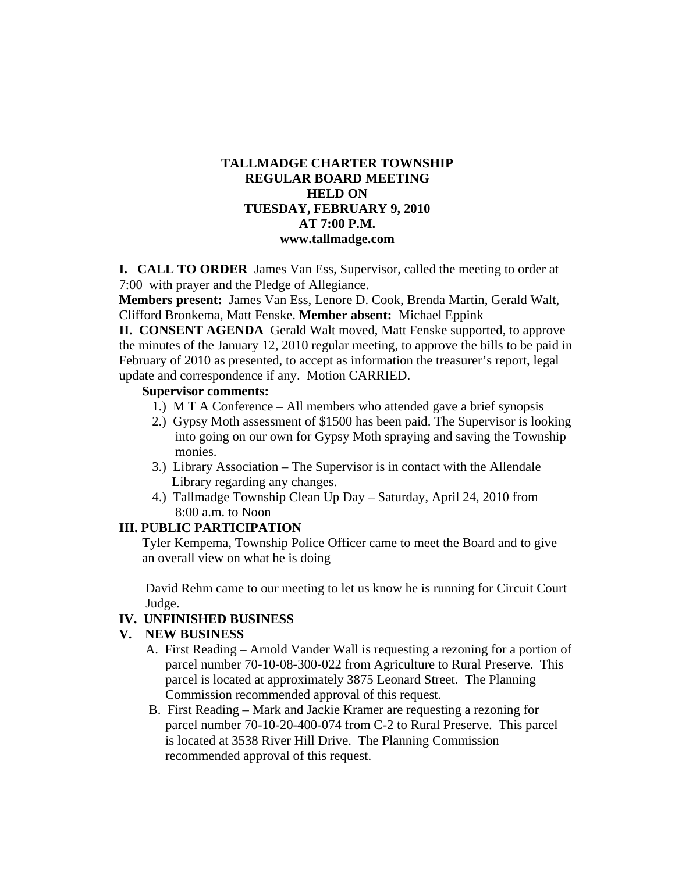## **TALLMADGE CHARTER TOWNSHIP REGULAR BOARD MEETING HELD ON TUESDAY, FEBRUARY 9, 2010 AT 7:00 P.M. www.tallmadge.com**

**I. CALL TO ORDER** James Van Ess, Supervisor, called the meeting to order at 7:00 with prayer and the Pledge of Allegiance.

**Members present:** James Van Ess, Lenore D. Cook, Brenda Martin, Gerald Walt, Clifford Bronkema, Matt Fenske. **Member absent:** Michael Eppink

**II. CONSENT AGENDA** Gerald Walt moved, Matt Fenske supported, to approve the minutes of the January 12, 2010 regular meeting, to approve the bills to be paid in February of 2010 as presented, to accept as information the treasurer's report, legal update and correspondence if any. Motion CARRIED.

#### **Supervisor comments:**

- 1.) M T A Conference All members who attended gave a brief synopsis
- 2.) Gypsy Moth assessment of \$1500 has been paid. The Supervisor is looking into going on our own for Gypsy Moth spraying and saving the Township monies.
- 3.) Library Association The Supervisor is in contact with the Allendale Library regarding any changes.
- 4.) Tallmadge Township Clean Up Day Saturday, April 24, 2010 from 8:00 a.m. to Noon

## **III. PUBLIC PARTICIPATION**

Tyler Kempema, Township Police Officer came to meet the Board and to give an overall view on what he is doing

 David Rehm came to our meeting to let us know he is running for Circuit Court Judge.

### **IV. UNFINISHED BUSINESS**

### **V. NEW BUSINESS**

- A. First Reading Arnold Vander Wall is requesting a rezoning for a portion of parcel number 70-10-08-300-022 from Agriculture to Rural Preserve. This parcel is located at approximately 3875 Leonard Street. The Planning Commission recommended approval of this request.
- B. First Reading Mark and Jackie Kramer are requesting a rezoning for parcel number 70-10-20-400-074 from C-2 to Rural Preserve. This parcel is located at 3538 River Hill Drive. The Planning Commission recommended approval of this request.